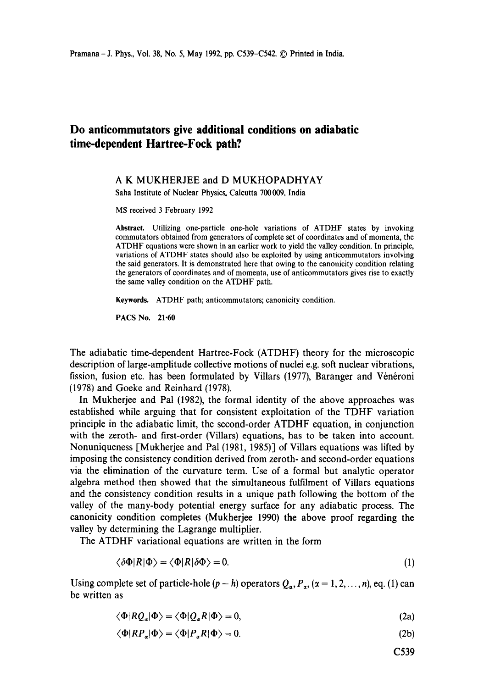# **Do anticommutators give additional conditions on adiabatic time-dependent Hartree-Fock path?**

## A K MUKHERJEE and D MUKHOPADHYAY

Saha Institute of Nuclear Physics. Calcutta 700 009, India

MS received 3 February 1992

Abstract. Utilizing one-particle one-hole variations of ATDHF states by invoking commutators obtained from generators of complete set of coordinates and of momenta, the ATDHF equations were shown in an earlier work to yield the valley condition. In principle, variations of ATDHF states should also be exploited by using anticommutators involving the said generators. It is demonstrated here that owing to the canonicity condition relating the generators of coordinates and of momenta, use of anticommutators gives rise to exactly the same valley condition on the ATDHF path.

**Keywords.** ATDHF path; anticommutators; canonicity condition.

PACS No. 21.60

The adiabatic time-dependent Hartree-Fock (ATDHF) theory for the microscopic description of large-amplitude collective motions of nuclei e.g. soft nuclear vibrations, fission, fusion etc. has been formulated by Villars (1977), Baranger and Vénéroni (1978) and Goeke and Reinhard (1978).

In Mukherjee and Pal (1982), the formal identity of the above approaches was established while arguing that for consistent exploitation of the TDHF variation principle in the adiabatic limit, the second-order ATDHF equation, in conjunction with the zeroth- and first-order (Villars) equations, has to be taken into account. Nonuniqueness [Mukherjee and Pal (1981, 1985)] of Villars equations was lifted by imposing the consistency condition derived from zeroth- and second-order equations via the elimination of the curvature term. Use of a formal but analytic operator algebra method then showed that the simultaneous fulfilment of Villars equations and the consistency condition results in a unique path following the bottom of the valley of the many-body potential energy surface for any adiabatic process. The canonicity condition completes (Mukherjee 1990) the above proof regarding the valley by determining the Lagrange multiplier.

The ATDHF variational equations are written in the form

$$
\langle \delta \Phi | R | \Phi \rangle = \langle \Phi | R | \delta \Phi \rangle = 0. \tag{1}
$$

Using complete set of particle-hole  $(p - h)$  operators  $Q_a$ ,  $P_a$ ,  $(\alpha = 1, 2, ..., n)$ , eq. (1) can be written as

$$
\langle \Phi | RQ_{\alpha} | \Phi \rangle = \langle \Phi | Q_{\alpha} R | \Phi \rangle = 0, \tag{2a}
$$

$$
\langle \Phi | R P_{\alpha} | \Phi \rangle = \langle \Phi | P_{\alpha} R | \Phi \rangle = 0. \tag{2b}
$$

C539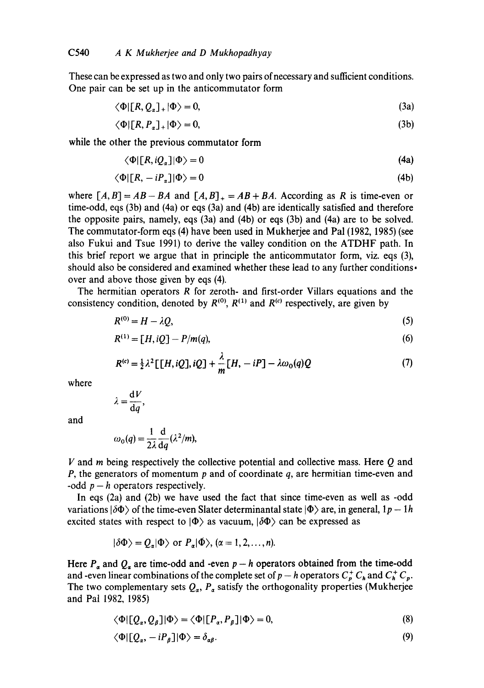These can be expressed as two and only two pairs of necessary and sufficient conditions. One pair can be set up in the anticommutator form

$$
\langle \Phi | [R, Q_{\alpha}]_{+} | \Phi \rangle = 0, \tag{3a}
$$

$$
\langle \Phi | [R, P_{\alpha}]_{+} | \Phi \rangle = 0, \tag{3b}
$$

while the other the previous commutator form

$$
\langle \Phi | [R, iQ_{\alpha}] | \Phi \rangle = 0 \tag{4a}
$$

$$
\langle \Phi | [R, -iP_{\alpha}] | \Phi \rangle = 0 \tag{4b}
$$

where  $[A, B] = AB - BA$  and  $[A, B]_+ = AB + BA$ . According as R is time-even or time-odd, eqs (3b) and (4a) or eqs (3a) and (4b) are identically satisfied and therefore the opposite pairs, namely, eqs (3a) and (4b) or eqs (3b) and (4a) are to be solved. The commutator-form eqs (4) have been used in Mukherjee and Pal (1982, 1985) (see also Fukui and Tsue 1991) to derive the valley condition on the ATDHF path. In this brief report we argue that in principle the anticommutator form, viz. eqs (3), should also be considered and examined whether these lead to any further conditions. over and above those given by eqs (4).

The hermitian operators  $R$  for zeroth- and first-order Villars equations and the consistency condition, denoted by  $R^{(0)}$ ,  $R^{(1)}$  and  $R^{(c)}$  respectively, are given by

$$
R^{(0)} = H - \lambda Q, \tag{5}
$$

$$
R^{(1)} = [H, iQ] - P/m(q),
$$
\n(6)

$$
R^{(c)} = \frac{1}{2}\lambda^2 [[H, iQ], iQ] + \frac{\lambda}{m}[H, -iP] - \lambda \omega_0(q)Q
$$
 (7)

where

$$
\lambda = \frac{\mathrm{d} V}{\mathrm{d} q},
$$

and

$$
\omega_0(q) = \frac{1}{2\lambda} \frac{d}{dq} (\lambda^2/m),
$$

 $V$  and  $m$  being respectively the collective potential and collective mass. Here  $Q$  and P, the generators of momentum  $p$  and of coordinate  $q$ , are hermitian time-even and -odd  $p - h$  operators respectively.

In eqs (2a) and (2b) we have used the fact that since time-even as well as -odd variations  $|\delta\Phi\rangle$  of the time-even Slater determinantal state  $|\Phi\rangle$  are, in general,  $1p - 1h$ excited states with respect to  $|\Phi\rangle$  as vacuum,  $|\delta\Phi\rangle$  can be expressed as

$$
|\delta \Phi \rangle = Q_{\alpha} | \Phi \rangle \text{ or } P_{\alpha} | \Phi \rangle, (\alpha = 1, 2, ..., n).
$$

Here  $P_a$  and  $Q_a$  are time-odd and -even  $p - h$  operators obtained from the time-odd and -even linear combinations of the complete set of  $p - h$  operators  $C_p^+ C_h$  and  $C_h^+ C_p$ . The two complementary sets  $Q_{\alpha}$ ,  $P_{\alpha}$  satisfy the orthogonality properties (Mukherjee and Pal 1982, 1985)

$$
\langle \Phi | [Q_{\alpha}, Q_{\beta}] | \Phi \rangle = \langle \Phi | [P_{\alpha}, P_{\beta}] | \Phi \rangle = 0, \tag{8}
$$

$$
\langle \Phi | [Q_{\alpha}, -iP_{\beta}] | \Phi \rangle = \delta_{\alpha\beta}.
$$
\n(9)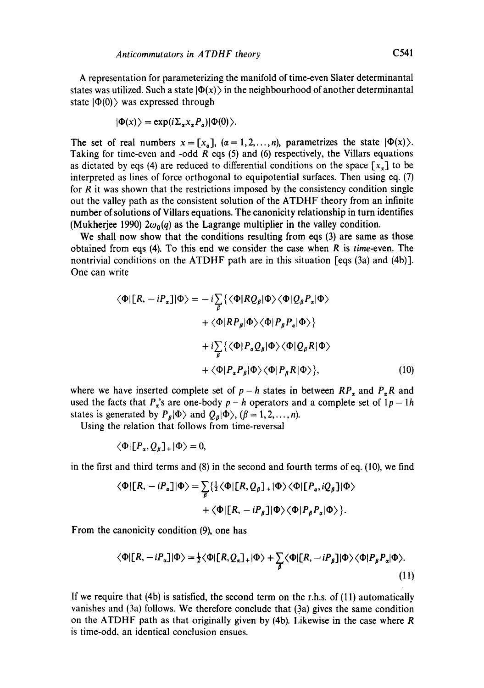A representation for parameterizing the manifold of time-even Slater determinantal states was utilized. Such a state  $|\Phi(x)\rangle$  in the neighbourhood of another determinantal state  $|\Phi(0)\rangle$  was expressed through

$$
|\Phi(x)\rangle = \exp(i\Sigma_{\alpha}x_{\alpha}P_{\alpha})|\Phi(0)\rangle.
$$

The set of real numbers  $x = [x_{\alpha}], (\alpha = 1, 2, ..., n)$ , parametrizes the state  $|\Phi(x)\rangle$ . Taking for time-even and -odd  $R$  eqs (5) and (6) respectively, the Villars equations as dictated by eqs (4) are reduced to differential conditions on the space  $[x_{\alpha}]$  to be interpreted as lines of force orthogonal to equipotential surfaces. Then using eq. (7) for  *it was shown that the restrictions imposed by the consistency condition single* out the valley path as the consistent solution of the ATDHF theory from an infinite number of solutions of Villars equations. The canonicity relationship in turn identifies (Mukherjee 1990)  $2\omega_0(q)$  as the Lagrange multiplier in the valley condition.

We shall now show that the conditions resulting from eqs (3) are same as those obtained from eqs (4). To this end we consider the case when R is *time-even.* The nontrivial conditions on the ATDHF path are in this situation [eqs (3a) and (4b)]. One can write

$$
\langle \Phi | [R, -iP_{\alpha}] | \Phi \rangle = -i \sum_{\beta} \{ \langle \Phi | RQ_{\beta} | \Phi \rangle \langle \Phi | Q_{\beta} P_{\alpha} | \Phi \rangle + \langle \Phi | R P_{\beta} | \Phi \rangle \langle \Phi | P_{\beta} P_{\alpha} | \Phi \rangle \} + i \sum_{\beta} \{ \langle \Phi | P_{\alpha} Q_{\beta} | \Phi \rangle \langle \Phi | Q_{\beta} R | \Phi \rangle + \langle \Phi | P_{\alpha} P_{\beta} | \Phi \rangle \langle \Phi | P_{\beta} R | \Phi \rangle \}, \tag{10}
$$

where we have inserted complete set of  $p-h$  states in between  $RP_a$  and  $P_aR$  and used the facts that  $P_a$ 's are one-body  $p-h$  operators and a complete set of  $1p-1h$ states is generated by  $P_{\beta}|\Phi\rangle$  and  $Q_{\beta}|\Phi\rangle$ ,  $(\beta = 1,2,\ldots,n)$ .

Using the relation that follows from time-reversal

$$
\langle \Phi | [P_{\alpha}, Q_{\beta}]_{+} | \Phi \rangle = 0,
$$

in the first and third terms and (8) in the second and fourth terms of eq. (10), we find

$$
\langle \Phi | [R, -iP_{\alpha}] | \Phi \rangle = \sum_{\beta} \{ \frac{1}{2} \langle \Phi | [R, Q_{\beta}]_{+} | \Phi \rangle \langle \Phi | [P_{\alpha}, iQ_{\beta}] | \Phi \rangle
$$

$$
+ \langle \Phi | [R, -iP_{\beta}] | \Phi \rangle \langle \Phi | P_{\beta} P_{\alpha} | \Phi \rangle \}.
$$

From the canonicity condition (9), one has

$$
\langle \Phi | [R, -iP_{\alpha}] | \Phi \rangle = \frac{1}{2} \langle \Phi | [R, Q_{\alpha}]_{+} | \Phi \rangle + \sum_{\beta} \langle \Phi | [R, -iP_{\beta}] | \Phi \rangle \langle \Phi | P_{\beta} P_{\alpha} | \Phi \rangle.
$$
\n(11)

If we require that (4b) is satisfied, the second term on the r.h.s, of (11) automatically vanishes and  $(3a)$  follows. We therefore conclude that  $(3a)$  gives the same condition on the ATDHF path as that originally given by  $(4b)$ . Likewise in the case where R is time-odd, an identical conclusion ensues.